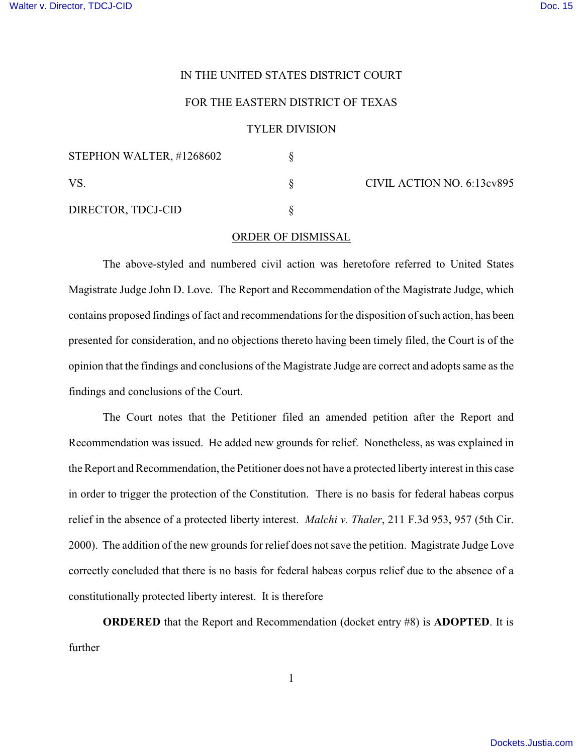### IN THE UNITED STATES DISTRICT COURT

## FOR THE EASTERN DISTRICT OF TEXAS

#### TYLER DIVISION

| STEPHON WALTER, #1268602 |  | CIVIL ACTION NO. 6:13cv895 |
|--------------------------|--|----------------------------|
|                          |  |                            |
| DIRECTOR, TDCJ-CID       |  |                            |

#### ORDER OF DISMISSAL

The above-styled and numbered civil action was heretofore referred to United States Magistrate Judge John D. Love. The Report and Recommendation of the Magistrate Judge, which contains proposed findings of fact and recommendations for the disposition of such action, has been presented for consideration, and no objections thereto having been timely filed, the Court is of the opinion that the findings and conclusions of the Magistrate Judge are correct and adopts same as the findings and conclusions of the Court.

The Court notes that the Petitioner filed an amended petition after the Report and Recommendation was issued. He added new grounds for relief. Nonetheless, as was explained in the Report and Recommendation, the Petitioner does not have a protected liberty interest in this case in order to trigger the protection of the Constitution. There is no basis for federal habeas corpus relief in the absence of a protected liberty interest. *Malchi v. Thaler*, 211 F.3d 953, 957 (5th Cir. 2000). The addition of the new grounds for relief does not save the petition. Magistrate Judge Love correctly concluded that there is no basis for federal habeas corpus relief due to the absence of a constitutionally protected liberty interest. It is therefore

**ORDERED** that the Report and Recommendation (docket entry #8) is **ADOPTED**. It is further